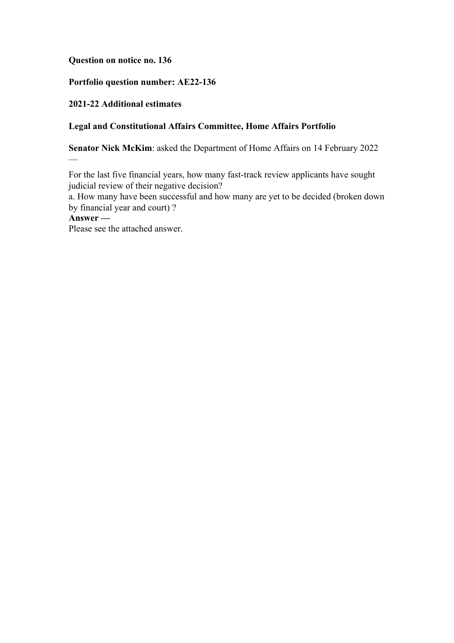## **Question on notice no. 136**

### **Portfolio question number: AE22-136**

### **2021-22 Additional estimates**

### **Legal and Constitutional Affairs Committee, Home Affairs Portfolio**

**Senator Nick McKim**: asked the Department of Home Affairs on 14 February 2022

For the last five financial years, how many fast-track review applicants have sought judicial review of their negative decision?

a. How many have been successful and how many are yet to be decided (broken down by financial year and court) ?

**Answer —**

—

Please see the attached answer.